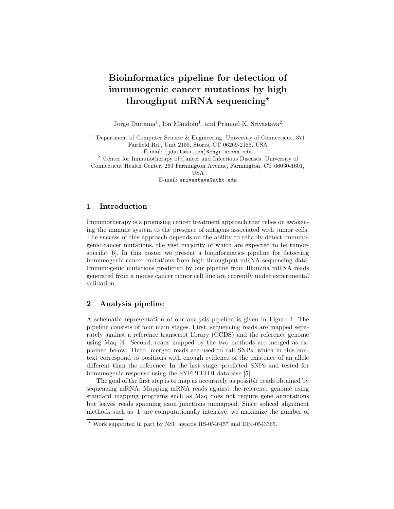# Bioinformatics pipeline for detection of immunogenic cancer mutations by high throughput mRNA sequencing<sup>\*</sup>

Jorge Duitama<sup>1</sup>, Ion Măndoiu<sup>1</sup>, and Pramod K. Srivastava<sup>2</sup>

<sup>1</sup> Department of Computer Science  $\&$  Engineering, University of Connecticut, 371 Fairfield Rd., Unit 2155, Storrs, CT 06269-2155, USA

E-mail: {jduitama,ion}@engr.uconn.edu

<sup>2</sup> Center for Immunotherapy of Cancer and Infectious Diseases, University of Connecticut Health Center, 263 Farmington Avenue, Farmington, CT 06030-1601,

USA

E-mail: srivastava@uchc.edu

#### 1 Introduction

Immunotherapy is a promising cancer treatment approach that relies on awakening the immune system to the presence of antigens associated with tumor cells. The success of this approach depends on the ability to reliably detect immunogenic cancer mutations, the vast majority of which are expected to be tumorspecific [6]. In this poster we present a bioinformatics pipeline for detecting immunogenic cancer mutations from high throughput mRNA sequencing data. Immunogenic mutations predicted by our pipeline from Illumina mRNA reads generated from a mouse cancer tumor cell line are currently under experimental validation.

## 2 Analysis pipeline

A schematic representation of our analysis pipeline is given in Figure 1. The pipeline consists of four main stages. First, sequencing reads are mapped separately against a reference transcript library (CCDS) and the reference genome using Maq [4]. Second, reads mapped by the two methods are merged as explained below. Third, merged reads are used to call SNPs, which in this context correspond to positions with enough evidence of the existence of an allele different than the reference. In the last stage, predicted SNPs and tested for immunogenic response using the SYFPEITHI database [5].

The goal of the first step is to map as accurately as possible reads obtained by sequencing mRNA. Mapping mRNA reads against the reference genome using standard mapping programs such as Maq does not require gene annotations but leaves reads spanning exon junctions unmapped. Since spliced alignment methods such as [1] are computationally intensive, we maximize the number of

<sup>?</sup> Work supported in part by NSF awards IIS-0546457 and DBI-0543365.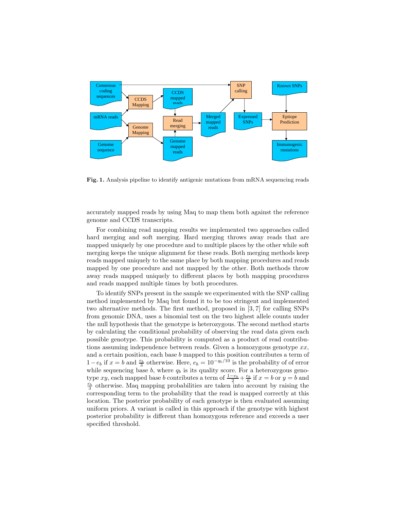

Fig. 1. Analysis pipeline to identify antigenic mutations from mRNA sequencing reads

accurately mapped reads by using Maq to map them both against the reference genome and CCDS transcripts.

For combining read mapping results we implemented two approaches called hard merging and soft merging. Hard merging throws away reads that are mapped uniquely by one procedure and to multiple places by the other while soft merging keeps the unique alignment for these reads. Both merging methods keep reads mapped uniquely to the same place by both mapping procedures and reads mapped by one procedure and not mapped by the other. Both methods throw away reads mapped uniquely to different places by both mapping procedures and reads mapped multiple times by both procedures.

To identify SNPs present in the sample we experimented with the SNP calling method implemented by Maq but found it to be too stringent and implemented two alternative methods. The first method, proposed in [3, 7] for calling SNPs from genomic DNA, uses a binomial test on the two highest allele counts under the null hypothesis that the genotype is heterozygous. The second method starts by calculating the conditional probability of observing the read data given each possible genotype. This probability is computed as a product of read contributions assuming independence between reads. Given a homozygous genotype  $xx$ , and a certain position, each base b mapped to this position contributes a term of  $1-e_b$  if  $x=b$  and  $\frac{e_b}{3}$  otherwise. Here,  $e_b=10^{-q_b/10}$  is the probability of of error while sequencing base  $b$ , where  $q_b$  is its quality score. For a heterozygous genotype xy, each mapped base b contributes a term of  $\frac{1-e_b}{2} + \frac{e_b}{6}$  if  $x = b$  or  $y = b$  and  $\frac{e_b}{3}$  otherwise. Maq mapping probabilities are taken into account by raising the corresponding term to the probability that the read is mapped correctly at this location. The posterior probability of each genotype is then evaluated assuming uniform priors. A variant is called in this approach if the genotype with highest posterior probability is different than homozygous reference and exceeds a user specified threshold.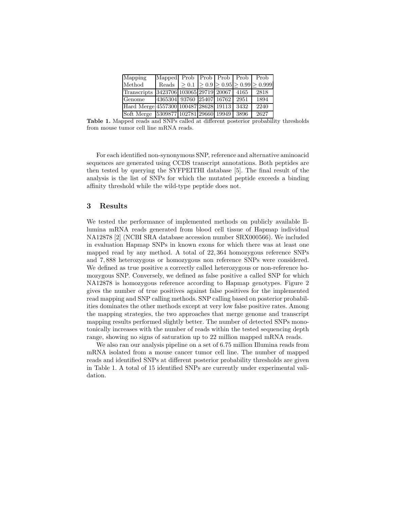| Mapping                               | Mapped Prob Prob Prob Prob Prob |  |      |                                                                  |
|---------------------------------------|---------------------------------|--|------|------------------------------------------------------------------|
| Method                                |                                 |  |      | Reads $\geq 0.1$ $\geq 0.9$ $\geq 0.95$ $\geq 0.99$ $\geq 0.999$ |
| Transcripts                           | 3423706 103065 29719 20067 4165 |  |      | 2818                                                             |
| Genome                                | 4365304 93760 25407 16762 2951  |  |      | 1894                                                             |
| Hard Merge 4557300 100487 28628 19113 |                                 |  | 3432 | 2240                                                             |
| Soft Merge 5309877 102781 29660 19949 |                                 |  | 3896 | 2627                                                             |

Table 1. Mapped reads and SNPs called at different posterior probability thresholds from mouse tumor cell line mRNA reads.

For each identified non-synonymous SNP, reference and alternative aminoacid sequences are generated using CCDS transcript annotations. Both peptides are then tested by querying the SYFPEITHI database [5]. The final result of the analysis is the list of SNPs for which the mutated peptide exceeds a binding affinity threshold while the wild-type peptide does not.

### 3 Results

We tested the performance of implemented methods on publicly available Illumina mRNA reads generated from blood cell tissue of Hapmap individual NA12878 [2] (NCBI SRA database accession number SRX000566). We included in evaluation Hapmap SNPs in known exons for which there was at least one mapped read by any method. A total of 22, 364 homozygous reference SNPs and 7, 888 heterozygous or homozygous non reference SNPs were considered. We defined as true positive a correctly called heterozygous or non-reference homozygous SNP. Conversely, we defined as false positive a called SNP for which NA12878 is homozygous reference according to Hapmap genotypes. Figure 2 gives the number of true positives against false positives for the implemented read mapping and SNP calling methods. SNP calling based on posterior probabilities dominates the other methods except at very low false positive rates. Among the mapping strategies, the two approaches that merge genome and transcript mapping results performed slightly better. The number of detected SNPs monotonically increases with the number of reads within the tested sequencing depth range, showing no signs of saturation up to 22 million mapped mRNA reads.

We also ran our analysis pipeline on a set of 6.75 million Illumina reads from mRNA isolated from a mouse cancer tumor cell line. The number of mapped reads and identified SNPs at different posterior probability thresholds are given in Table 1. A total of 15 identified SNPs are currently under experimental validation.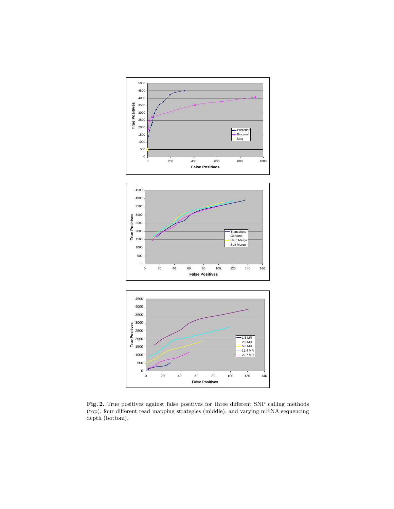

Fig. 2. True positives against false positives for three different SNP calling methods (top), four different read mapping strategies (middle), and varying mRNA sequencing depth (bottom).